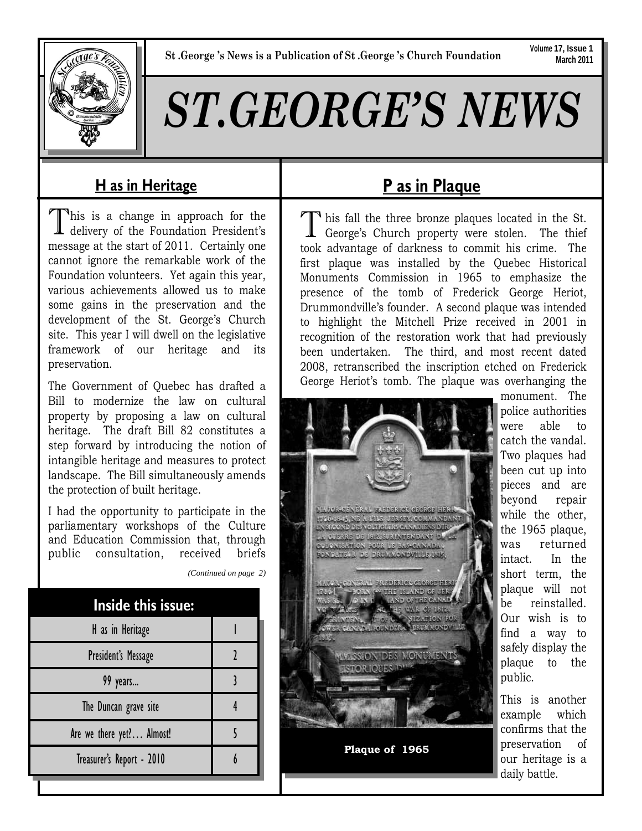**Volume 17, Issue 1 March 2011**

# *ST.GEORGE'S NEWS*

# **H as in Heritage**

This is a change in approach for the delivery of the Foundation President's message at the start of 2011. Certainly one cannot ignore the remarkable work of the Foundation volunteers. Yet again this year, various achievements allowed us to make some gains in the preservation and the development of the St. George's Church site. This year I will dwell on the legislative framework of our heritage and its preservation.

The Government of Quebec has drafted a Bill to modernize the law on cultural property by proposing a law on cultural heritage. The draft Bill 82 constitutes a step forward by introducing the notion of intangible heritage and measures to protect landscape. The Bill simultaneously amends the protection of built heritage.

I had the opportunity to participate in the parliamentary workshops of the Culture and Education Commission that, through public consultation, received briefs

| <b>Inside this issue:</b> |  |
|---------------------------|--|
| H as in Heritage          |  |
| President's Message       |  |
| 99 years                  |  |
| The Duncan grave site     |  |
| Are we there yet? Almost! |  |
| Treasurer's Report - 2010 |  |

*(Continued on page 2)* 

# **P as in Plaque**

If his fall the three bronze plaques located in the St.<br>George's Church property were stolen. The thief took advantage of darkness to commit his crime. The first plaque was installed by the Quebec Historical Monuments Commission in 1965 to emphasize the presence of the tomb of Frederick George Heriot, Drummondville's founder. A second plaque was intended to highlight the Mitchell Prize received in 2001 in recognition of the restoration work that had previously been undertaken. The third, and most recent dated 2008, retranscribed the inscription etched on Frederick George Heriot's tomb. The plaque was overhanging the



monument. The police authorities were able to catch the vandal. Two plaques had been cut up into pieces and are beyond repair while the other, the 1965 plaque, was returned intact. In the short term, the plaque will not be reinstalled. Our wish is to find a way to safely display the plaque to the public.

This is another example which confirms that the preservation of our heritage is a daily battle.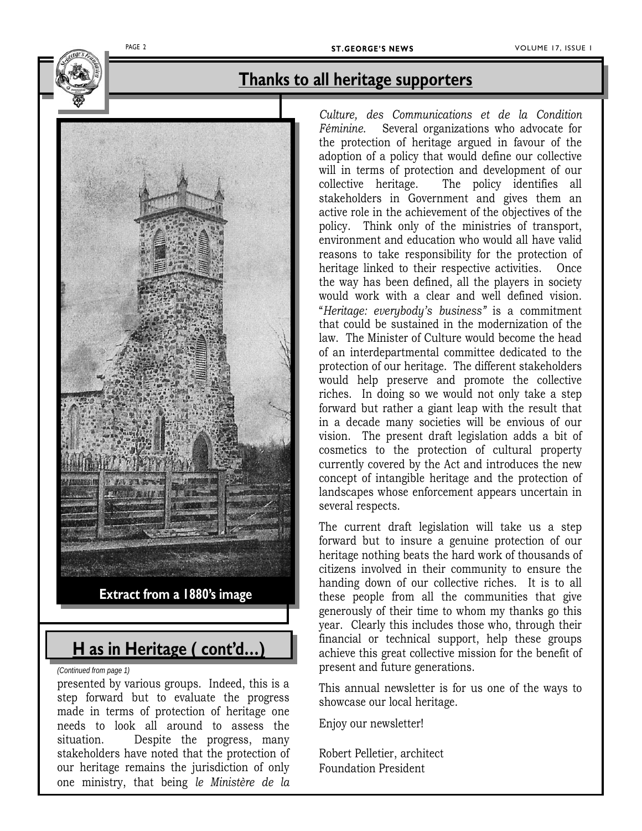

### **Thanks to all heritage supporters**



# **H as in Heritage ( cont'd…)**

*(Continued from page 1)* 

presented by various groups. Indeed, this is a step forward but to evaluate the progress made in terms of protection of heritage one needs to look all around to assess the situation. Despite the progress, many stakeholders have noted that the protection of our heritage remains the jurisdiction of only one ministry, that being *le Ministère de la* 

*Culture, des Communications et de la Condition Féminine*. Several organizations who advocate for the protection of heritage argued in favour of the adoption of a policy that would define our collective will in terms of protection and development of our collective heritage. The policy identifies all stakeholders in Government and gives them an active role in the achievement of the objectives of the policy. Think only of the ministries of transport, environment and education who would all have valid reasons to take responsibility for the protection of heritage linked to their respective activities. Once the way has been defined, all the players in society would work with a clear and well defined vision. "*Heritage: everybody's business"* is a commitment that could be sustained in the modernization of the law. The Minister of Culture would become the head of an interdepartmental committee dedicated to the protection of our heritage. The different stakeholders would help preserve and promote the collective riches. In doing so we would not only take a step forward but rather a giant leap with the result that in a decade many societies will be envious of our vision. The present draft legislation adds a bit of cosmetics to the protection of cultural property currently covered by the Act and introduces the new concept of intangible heritage and the protection of landscapes whose enforcement appears uncertain in several respects.

The current draft legislation will take us a step forward but to insure a genuine protection of our heritage nothing beats the hard work of thousands of citizens involved in their community to ensure the handing down of our collective riches. It is to all these people from all the communities that give generously of their time to whom my thanks go this year. Clearly this includes those who, through their financial or technical support, help these groups achieve this great collective mission for the benefit of present and future generations.

This annual newsletter is for us one of the ways to showcase our local heritage.

Enjoy our newsletter!

Robert Pelletier, architect Foundation President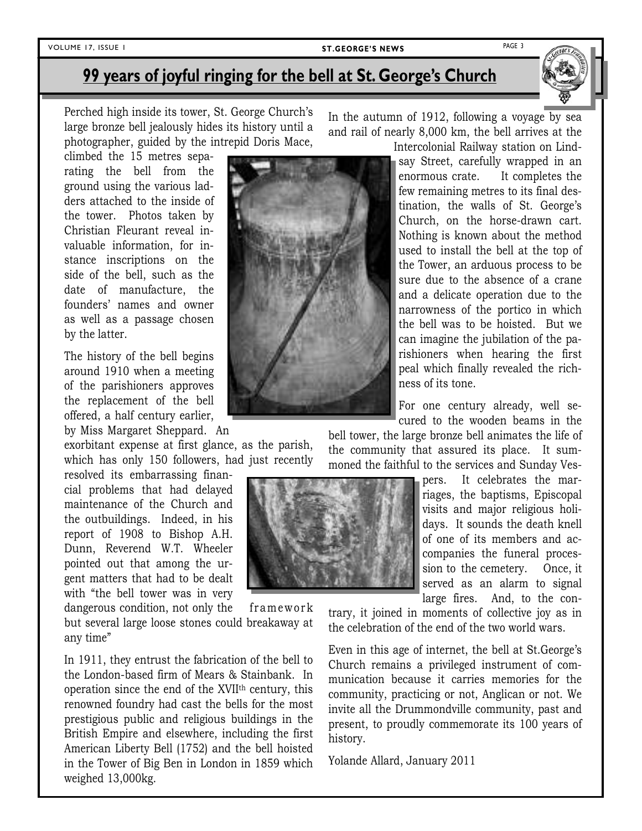### PAGE 3 VOLUME 17, ISSUE 1 **ST.GEORGE'S NEWS**

# **99 years of joyful ringing for the bell at St. George's Church**

Perched high inside its tower, St. George Church's large bronze bell jealously hides its history until a photographer, guided by the intrepid Doris Mace,

climbed the 15 metres separating the bell from the ground using the various ladders attached to the inside of the tower. Photos taken by Christian Fleurant reveal invaluable information, for instance inscriptions on the side of the bell, such as the date of manufacture, the founders' names and owner as well as a passage chosen by the latter.

The history of the bell begins around 1910 when a meeting of the parishioners approves the replacement of the bell offered, a half century earlier, by Miss Margaret Sheppard. An

exorbitant expense at first glance, as the parish, which has only 150 followers, had just recently

resolved its embarrassing financial problems that had delayed maintenance of the Church and the outbuildings. Indeed, in his report of 1908 to Bishop A.H. Dunn, Reverend W.T. Wheeler pointed out that among the urgent matters that had to be dealt with "the bell tower was in very

dangerous condition, not only the framework but several large loose stones could breakaway at any time"

In 1911, they entrust the fabrication of the bell to the London-based firm of Mears & Stainbank. In operation since the end of the XVIIth century, this renowned foundry had cast the bells for the most prestigious public and religious buildings in the British Empire and elsewhere, including the first American Liberty Bell (1752) and the bell hoisted in the Tower of Big Ben in London in 1859 which weighed 13,000kg.

In the autumn of 1912, following a voyage by sea and rail of nearly 8,000 km, the bell arrives at the

Intercolonial Railway station on Lindsay Street, carefully wrapped in an enormous crate. It completes the few remaining metres to its final destination, the walls of St. George's Church, on the horse-drawn cart. Nothing is known about the method used to install the bell at the top of the Tower, an arduous process to be sure due to the absence of a crane and a delicate operation due to the narrowness of the portico in which the bell was to be hoisted. But we can imagine the jubilation of the parishioners when hearing the first peal which finally revealed the richness of its tone.

For one century already, well secured to the wooden beams in the

bell tower, the large bronze bell animates the life of the community that assured its place. It summoned the faithful to the services and Sunday Ves-

> pers. It celebrates the marriages, the baptisms, Episcopal visits and major religious holidays. It sounds the death knell of one of its members and accompanies the funeral procession to the cemetery.Once, it served as an alarm to signal large fires. And, to the con-

trary, it joined in moments of collective joy as in the celebration of the end of the two world wars.

Even in this age of internet, the bell at St.George's Church remains a privileged instrument of communication because it carries memories for the community, practicing or not, Anglican or not. We invite all the Drummondville community, past and present, to proudly commemorate its 100 years of history.

Yolande Allard, January 2011





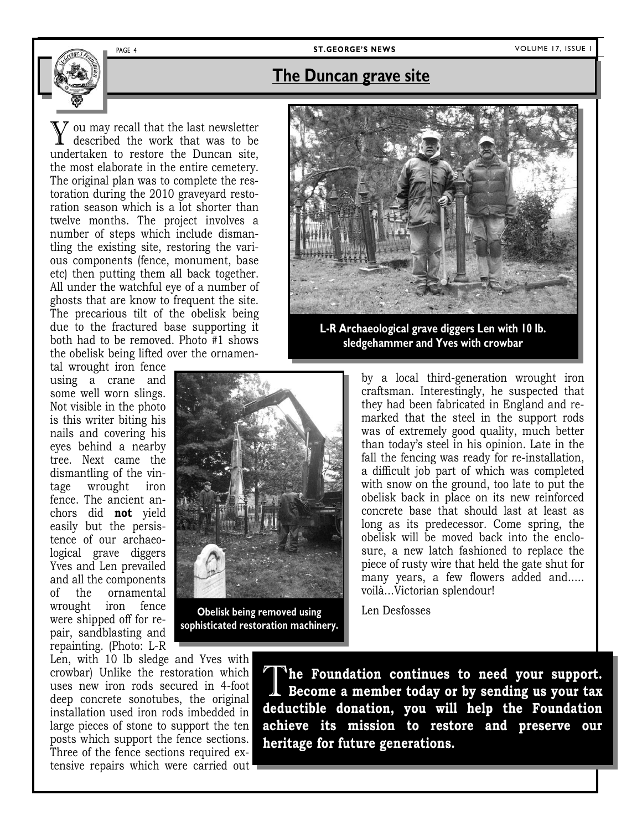### PAGE 4 **ST.GEORGE'S NEWS** VOLUME 17, ISSUE 1

### **The Duncan grave site**

You may recall that the last newsletter described the work that was to be undertaken to restore the Duncan site, the most elaborate in the entire cemetery. The original plan was to complete the restoration during the 2010 graveyard restoration season which is a lot shorter than twelve months. The project involves a number of steps which include dismantling the existing site, restoring the various components (fence, monument, base etc) then putting them all back together. All under the watchful eye of a number of ghosts that are know to frequent the site. The precarious tilt of the obelisk being due to the fractured base supporting it both had to be removed. Photo #1 shows the obelisk being lifted over the ornamen-

tal wrought iron fence using a crane and some well worn slings. Not visible in the photo is this writer biting his nails and covering his eyes behind a nearby tree. Next came the dismantling of the vintage wrought iron fence. The ancient anchors did **not** yield easily but the persistence of our archaeological grave diggers Yves and Len prevailed and all the components of the ornamental wrought iron fence were shipped off for repair, sandblasting and repainting. (Photo: L-R



**Obelisk being removed using sophisticated restoration machinery.** 



**L-R Archaeological grave diggers Len with 10 lb. sledgehammer and Yves with crowbar** 

by a local third-generation wrought iron craftsman. Interestingly, he suspected that they had been fabricated in England and remarked that the steel in the support rods was of extremely good quality, much better than today's steel in his opinion. Late in the fall the fencing was ready for re-installation, a difficult job part of which was completed with snow on the ground, too late to put the obelisk back in place on its new reinforced concrete base that should last at least as long as its predecessor. Come spring, the obelisk will be moved back into the enclosure, a new latch fashioned to replace the piece of rusty wire that held the gate shut for many years, a few flowers added and….. voilà…Victorian splendour!

Len Desfosses

Len, with 10 lb sledge and Yves with crowbar) Unlike the restoration which uses new iron rods secured in 4-foot deep concrete sonotubes, the original installation used iron rods imbedded in large pieces of stone to support the ten posts which support the fence sections. Three of the fence sections required extensive repairs which were carried out

The Foundation continues to need your support.<br>Become a member today or by sending us your tax **deductible donation, you will help the Foundation achieve its mission to restore and preserve our heritage for future generations.**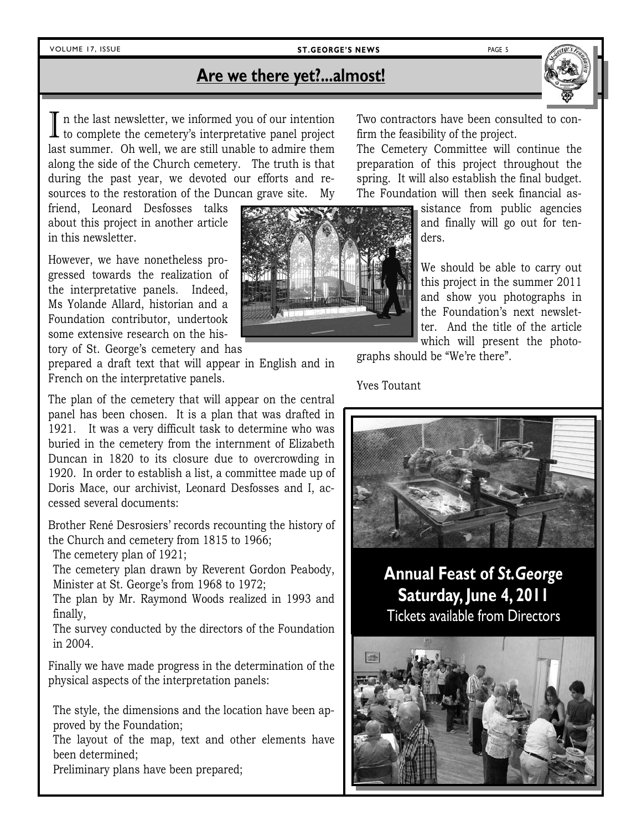### VOLUME 17, ISSUE **ST.GEORGE'S NEWS** PAGE 5

# **Are we there yet?...almost!**

I n the last newsletter, we informed you of our intention to complete the cemetery's interpretative panel project last summer. Oh well, we are still unable to admire them along the side of the Church cemetery. The truth is that during the past year, we devoted our efforts and resources to the restoration of the Duncan grave site. My

friend, Leonard Desfosses talks about this project in another article in this newsletter.

However, we have nonetheless progressed towards the realization of the interpretative panels. Indeed, Ms Yolande Allard, historian and a Foundation contributor, undertook some extensive research on the history of St. George's cemetery and has

prepared a draft text that will appear in English and in French on the interpretative panels.

The plan of the cemetery that will appear on the central panel has been chosen. It is a plan that was drafted in 1921. It was a very difficult task to determine who was buried in the cemetery from the internment of Elizabeth Duncan in 1820 to its closure due to overcrowding in 1920. In order to establish a list, a committee made up of Doris Mace, our archivist, Leonard Desfosses and I, accessed several documents:

Brother René Desrosiers' records recounting the history of the Church and cemetery from 1815 to 1966;

The cemetery plan of 1921;

The cemetery plan drawn by Reverent Gordon Peabody, Minister at St. George's from 1968 to 1972;

The plan by Mr. Raymond Woods realized in 1993 and finally,

The survey conducted by the directors of the Foundation in 2004.

Finally we have made progress in the determination of the physical aspects of the interpretation panels:

The style, the dimensions and the location have been approved by the Foundation;

The layout of the map, text and other elements have been determined;

Preliminary plans have been prepared;



Two contractors have been consulted to confirm the feasibility of the project.

The Cemetery Committee will continue the preparation of this project throughout the spring. It will also establish the final budget. The Foundation will then seek financial as-

> sistance from public agencies and finally will go out for tenders.

> We should be able to carry out this project in the summer 2011 and show you photographs in the Foundation's next newsletter. And the title of the article which will present the photo-

graphs should be "We're there".

Yves Toutant



# **Annual Feast of** *St.George* **Saturday, June 4, 2011** Tickets available from Directors